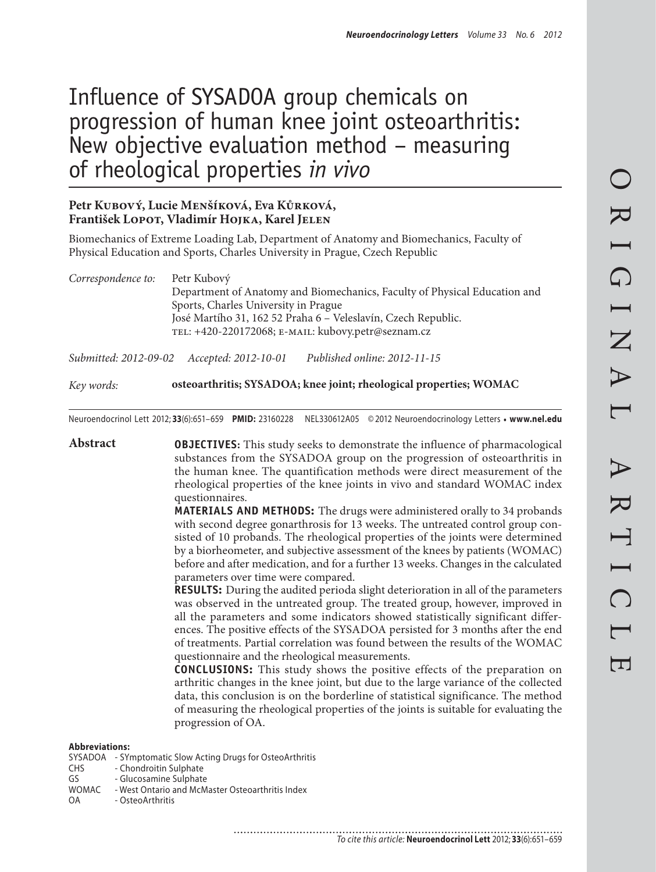# Influence of SYSADOA group chemicals on progression of human knee joint osteoarthritis: New objective evaluation method – measuring of rheological properties *in vivo*

### **Petr Kubový, Lucie Menšíková, Eva Kůrková, František Lopot, Vladimír Hojka, Karel Jelen**

Biomechanics of Extreme Loading Lab, Department of Anatomy and Biomechanics, Faculty of Physical Education and Sports, Charles University in Prague, Czech Republic

*Correspondence to:* Petr Kubový Department of Anatomy and Biomechanics, Faculty of Physical Education and Sports, Charles University in Prague José Martího 31, 162 52 Praha 6 – Veleslavín, Czech Republic. tel: +420-220172068; e-mail: kubovy.petr@seznam.cz

*Submitted: 2012-09-02 Accepted: 2012-10-01 Published online: 2012-11-15*

*Key words:* **osteoarthritis; SYSADOA; knee joint; rheological properties; WOMAC**

Neuroendocrinol Lett 2012; **33**(6):651–659 **PMID:** 23160228 NEL330612A05 © 2012 Neuroendocrinology Letters • **www.nel.edu**

**Abstract OBJECTIVES:** This study seeks to demonstrate the influence of pharmacological substances from the SYSADOA group on the progression of osteoarthritis in the human knee. The quantification methods were direct measurement of the rheological properties of the knee joints in vivo and standard WOMAC index questionnaires. **MATERIALS AND METHODS:** The drugs were administered orally to 34 probands with second degree gonarthrosis for 13 weeks. The untreated control group consisted of 10 probands. The rheological properties of the joints were determined by a biorheometer, and subjective assessment of the knees by patients (WOMAC) before and after medication, and for a further 13 weeks. Changes in the calculated parameters over time were compared. **RESULTS:** During the audited perioda slight deterioration in all of the parameters was observed in the untreated group. The treated group, however, improved in all the parameters and some indicators showed statistically significant differences. The positive effects of the SYSADOA persisted for 3 months after the end of treatments. Partial correlation was found between the results of the WOMAC questionnaire and the rheological measurements. **CONCLUSIONS:** This study shows the positive effects of the preparation on arthritic changes in the knee joint, but due to the large variance of the collected data, this conclusion is on the borderline of statistical significance. The method of measuring the rheological properties of the joints is suitable for evaluating the progression of OA.

**Abbreviations:**

- SYSADOA SYmptomatic Slow Acting Drugs for OsteoArthritis<br>CHS Chondroitin Sulphate
- CHS Chondroitin Sulphate<br>GS Glucosamine Sulphate
- GS Glucosamine Sulphate<br>WOMAC West Ontario and McM
- WOMAC West Ontario and McMaster Osteoarthritis Index<br>OA OsteoArthritis
- OsteoArthritis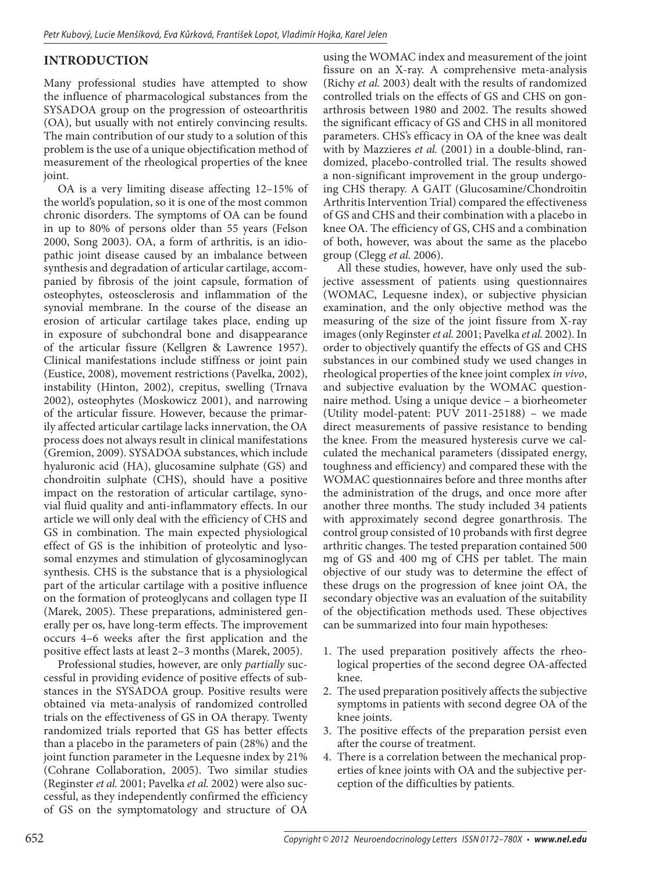# **INTRODUCTION**

Many professional studies have attempted to show the influence of pharmacological substances from the SYSADOA group on the progression of osteoarthritis (OA), but usually with not entirely convincing results. The main contribution of our study to a solution of this problem is the use of a unique objectification method of measurement of the rheological properties of the knee joint.

OA is a very limiting disease affecting 12–15% of the world's population, so it is one of the most common chronic disorders. The symptoms of OA can be found in up to 80% of persons older than 55 years (Felson 2000, Song 2003). OA, a form of arthritis, is an idiopathic joint disease caused by an imbalance between synthesis and degradation of articular cartilage, accompanied by fibrosis of the joint capsule, formation of osteophytes, osteosclerosis and inflammation of the synovial membrane. In the course of the disease an erosion of articular cartilage takes place, ending up in exposure of subchondral bone and disappearance of the articular fissure (Kellgren & Lawrence 1957). Clinical manifestations include stiffness or joint pain (Eustice, 2008), movement restrictions (Pavelka, 2002), instability (Hinton, 2002), crepitus, swelling (Trnava 2002), osteophytes (Moskowicz 2001), and narrowing of the articular fissure. However, because the primarily affected articular cartilage lacks innervation, the OA process does not always result in clinical manifestations (Gremion, 2009). SYSADOA substances, which include hyaluronic acid (HA), glucosamine sulphate (GS) and chondroitin sulphate (CHS), should have a positive impact on the restoration of articular cartilage, synovial fluid quality and anti-inflammatory effects. In our article we will only deal with the efficiency of CHS and GS in combination. The main expected physiological effect of GS is the inhibition of proteolytic and lysosomal enzymes and stimulation of glycosaminoglycan synthesis. CHS is the substance that is a physiological part of the articular cartilage with a positive influence on the formation of proteoglycans and collagen type II (Marek, 2005). These preparations, administered generally per os, have long-term effects. The improvement occurs 4–6 weeks after the first application and the positive effect lasts at least 2–3 months (Marek, 2005).

Professional studies, however, are only *partially* successful in providing evidence of positive effects of substances in the SYSADOA group. Positive results were obtained via meta-analysis of randomized controlled trials on the effectiveness of GS in OA therapy. Twenty randomized trials reported that GS has better effects than a placebo in the parameters of pain (28%) and the joint function parameter in the Lequesne index by 21% (Cohrane Collaboration, 2005). Two similar studies (Reginster *et al.* 2001; Pavelka *et al.* 2002) were also successful, as they independently confirmed the efficiency of GS on the symptomatology and structure of OA

using the WOMAC index and measurement of the joint fissure on an X-ray. A comprehensive meta-analysis (Richy *et al.* 2003) dealt with the results of randomized controlled trials on the effects of GS and CHS on gonarthrosis between 1980 and 2002. The results showed the significant efficacy of GS and CHS in all monitored parameters. CHS's efficacy in OA of the knee was dealt with by Mazzieres *et al.* (2001) in a double-blind, randomized, placebo-controlled trial. The results showed a non-significant improvement in the group undergoing CHS therapy. A GAIT (Glucosamine/Chondroitin Arthritis Intervention Trial) compared the effectiveness of GS and CHS and their combination with a placebo in knee OA. The efficiency of GS, CHS and a combination of both, however, was about the same as the placebo group (Clegg *et al.* 2006).

All these studies, however, have only used the subjective assessment of patients using questionnaires (WOMAC, Lequesne index), or subjective physician examination, and the only objective method was the measuring of the size of the joint fissure from X-ray images (only Reginster *et al.* 2001; Pavelka *et al.* 2002). In order to objectively quantify the effects of GS and CHS substances in our combined study we used changes in rheological properties of the knee joint complex *in vivo*, and subjective evaluation by the WOMAC questionnaire method. Using a unique device – a biorheometer (Utility model-patent: PUV 2011-25188) – we made direct measurements of passive resistance to bending the knee. From the measured hysteresis curve we calculated the mechanical parameters (dissipated energy, toughness and efficiency) and compared these with the WOMAC questionnaires before and three months after the administration of the drugs, and once more after another three months. The study included 34 patients with approximately second degree gonarthrosis. The control group consisted of 10 probands with first degree arthritic changes. The tested preparation contained 500 mg of GS and 400 mg of CHS per tablet. The main objective of our study was to determine the effect of these drugs on the progression of knee joint OA, the secondary objective was an evaluation of the suitability of the objectification methods used. These objectives can be summarized into four main hypotheses:

- 1. The used preparation positively affects the rheological properties of the second degree OA-affected knee.
- 2. The used preparation positively affects the subjective symptoms in patients with second degree OA of the knee joints.
- 3. The positive effects of the preparation persist even after the course of treatment.
- 4. There is a correlation between the mechanical properties of knee joints with OA and the subjective perception of the difficulties by patients.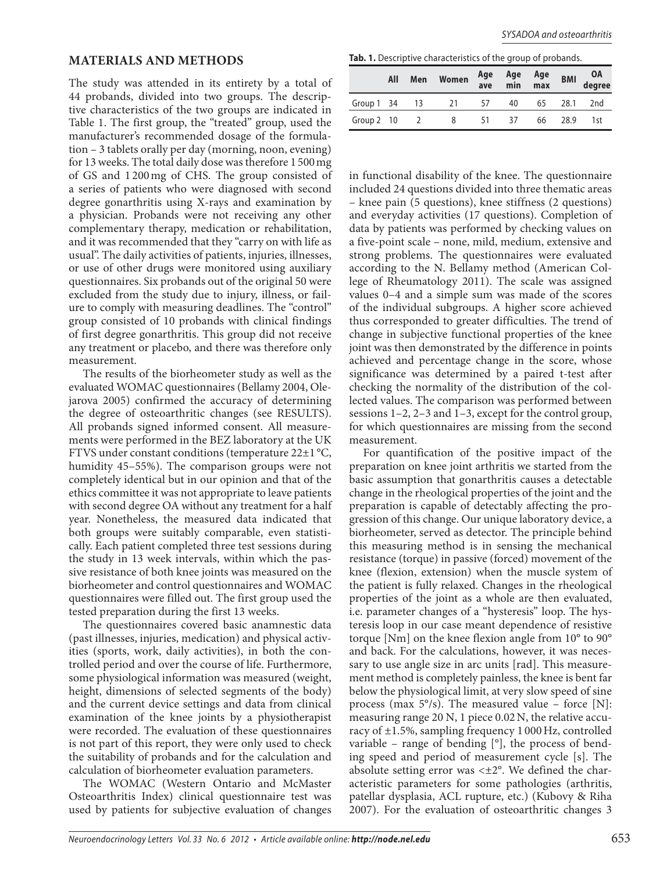# **MATERIALS AND METHODS**

The study was attended in its entirety by a total of 44 probands, divided into two groups. The descriptive characteristics of the two groups are indicated in Table 1. The first group, the "treated" group, used the manufacturer's recommended dosage of the formulation – 3 tablets orally per day (morning, noon, evening) for 13 weeks. The total daily dose was therefore 1 500 mg of GS and 1 200 mg of CHS. The group consisted of a series of patients who were diagnosed with second degree gonarthritis using X-rays and examination by a physician. Probands were not receiving any other complementary therapy, medication or rehabilitation, and it was recommended that they "carry on with life as usual". The daily activities of patients, injuries, illnesses, or use of other drugs were monitored using auxiliary questionnaires. Six probands out of the original 50 were excluded from the study due to injury, illness, or failure to comply with measuring deadlines. The "control" group consisted of 10 probands with clinical findings of first degree gonarthritis. This group did not receive any treatment or placebo, and there was therefore only measurement.

The results of the biorheometer study as well as the evaluated WOMAC questionnaires (Bellamy 2004, Olejarova 2005) confirmed the accuracy of determining the degree of osteoarthritic changes (see RESULTS). All probands signed informed consent. All measurements were performed in the BEZ laboratory at the UK FTVS under constant conditions (temperature 22±1 °C, humidity 45–55%). The comparison groups were not completely identical but in our opinion and that of the ethics committee it was not appropriate to leave patients with second degree OA without any treatment for a half year. Nonetheless, the measured data indicated that both groups were suitably comparable, even statistically. Each patient completed three test sessions during the study in 13 week intervals, within which the passive resistance of both knee joints was measured on the biorheometer and control questionnaires and WOMAC questionnaires were filled out. The first group used the tested preparation during the first 13 weeks.

The questionnaires covered basic anamnestic data (past illnesses, injuries, medication) and physical activities (sports, work, daily activities), in both the controlled period and over the course of life. Furthermore, some physiological information was measured (weight, height, dimensions of selected segments of the body) and the current device settings and data from clinical examination of the knee joints by a physiotherapist were recorded. The evaluation of these questionnaires is not part of this report, they were only used to check the suitability of probands and for the calculation and calculation of biorheometer evaluation parameters.

The WOMAC (Western Ontario and McMaster Osteoarthritis Index) clinical questionnaire test was used by patients for subjective evaluation of changes

**Tab. 1.** Descriptive characteristics of the group of probands.

|               | All | Men            | Women | Age<br>ave | Age<br>min | Age<br>max | <b>BMI</b> | OA<br>degree |
|---------------|-----|----------------|-------|------------|------------|------------|------------|--------------|
| Group 1 34 13 |     |                | 21    | 57         | 40         | 65         | 28.1       | 2nd          |
| Group 2 10    |     | $\overline{2}$ | 8     | 51         | 37         | 66         | 28.9       | 1st          |

in functional disability of the knee. The questionnaire included 24 questions divided into three thematic areas – knee pain (5 questions), knee stiffness (2 questions) and everyday activities (17 questions). Completion of data by patients was performed by checking values on a five-point scale – none, mild, medium, extensive and strong problems. The questionnaires were evaluated according to the N. Bellamy method (American College of Rheumatology 2011). The scale was assigned values 0–4 and a simple sum was made of the scores of the individual subgroups. A higher score achieved thus corresponded to greater difficulties. The trend of change in subjective functional properties of the knee joint was then demonstrated by the difference in points achieved and percentage change in the score, whose significance was determined by a paired t-test after checking the normality of the distribution of the collected values. The comparison was performed between sessions 1–2, 2–3 and 1–3, except for the control group, for which questionnaires are missing from the second measurement.

For quantification of the positive impact of the preparation on knee joint arthritis we started from the basic assumption that gonarthritis causes a detectable change in the rheological properties of the joint and the preparation is capable of detectably affecting the progression of this change. Our unique laboratory device, a biorheometer, served as detector. The principle behind this measuring method is in sensing the mechanical resistance (torque) in passive (forced) movement of the knee (flexion, extension) when the muscle system of the patient is fully relaxed. Changes in the rheological properties of the joint as a whole are then evaluated, i.e. parameter changes of a "hysteresis" loop. The hysteresis loop in our case meant dependence of resistive torque [Nm] on the knee flexion angle from 10° to 90° and back. For the calculations, however, it was necessary to use angle size in arc units [rad]. This measurement method is completely painless, the knee is bent far below the physiological limit, at very slow speed of sine process (max  $5\degree$ /s). The measured value – force [N]: measuring range 20 N, 1 piece 0.02 N, the relative accuracy of ±1.5%, sampling frequency 1 000 Hz, controlled variable – range of bending  $[°]$ , the process of bending speed and period of measurement cycle [s]. The absolute setting error was  $\leq \pm 2^{\circ}$ . We defined the characteristic parameters for some pathologies (arthritis, patellar dysplasia, ACL rupture, etc.) (Kubovy & Riha 2007). For the evaluation of osteoarthritic changes 3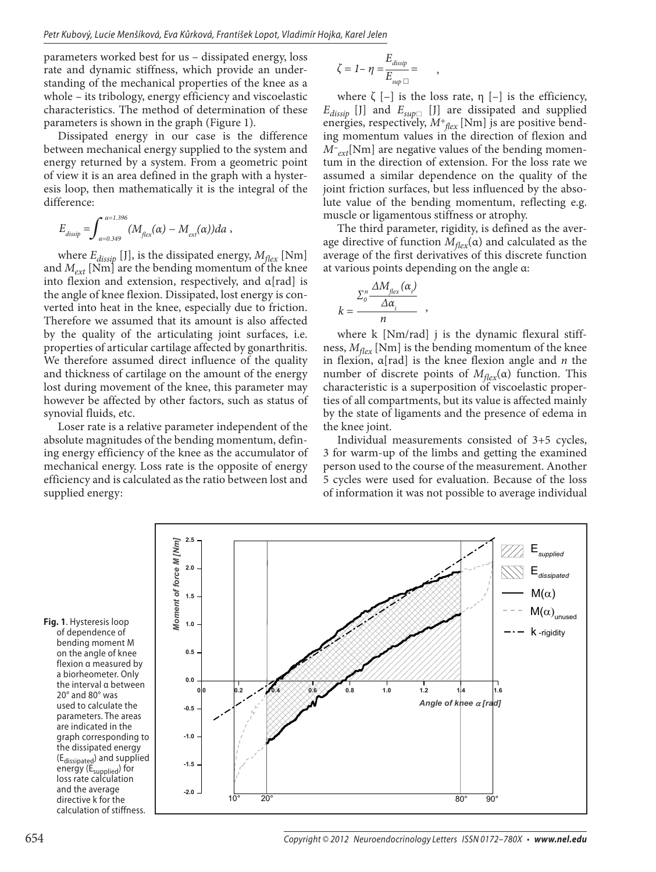parameters worked best for us – dissipated energy, loss rate and dynamic stiffness, which provide an understanding of the mechanical properties of the knee as a whole – its tribology, energy efficiency and viscoelastic characteristics. The method of determination of these parameters is shown in the graph (Figure 1)*.*

Dissipated energy in our case is the difference between mechanical energy supplied to the system and energy returned by a system. From a geometric point of view it is an area defined in the graph with a hysteresis loop, then mathematically it is the integral of the difference:

$$
E_{dissip} = \int_{\alpha=0.349}^{\alpha=1.396} (M_{\text{flex}}(\alpha) - M_{\text{ext}}(\alpha)) da,
$$

where  $E_{dissip}$  [J], is the dissipated energy,  $M_{flex}$  [Nm] and *Mext* [Nm] are the bending momentum of the knee into flexion and extension, respectively, and  $\alpha$ [rad] is the angle of knee flexion. Dissipated, lost energy is converted into heat in the knee, especially due to friction. Therefore we assumed that its amount is also affected by the quality of the articulating joint surfaces, i.e. properties of articular cartilage affected by gonarthritis. We therefore assumed direct influence of the quality and thickness of cartilage on the amount of the energy lost during movement of the knee, this parameter may however be affected by other factors, such as status of synovial fluids, etc.

Loser rate is a relative parameter independent of the absolute magnitudes of the bending momentum, defining energy efficiency of the knee as the accumulator of mechanical energy. Loss rate is the opposite of energy efficiency and is calculated as the ratio between lost and supplied energy:

$$
\zeta = 1 - \eta = \frac{E_{dissip}}{E_{sup}} =
$$

where  $\zeta$  [-] is the loss rate,  $\eta$  [-] is the efficiency,  $E_{dissip}$  [J] and  $E_{sup\Box}$  [J] are dissipated and supplied energies, respectively,  $M^+_{\text{flex}}$  [Nm] js are positive bending momentum values in the direction of flexion and *M– ext*[Nm] are negative values of the bending momentum in the direction of extension. For the loss rate we assumed a similar dependence on the quality of the joint friction surfaces, but less influenced by the absolute value of the bending momentum, reflecting e.g. muscle or ligamentous stiffness or atrophy.

,

The third parameter, rigidity, is defined as the average directive of function *Mflex*(α) and calculated as the average of the first derivatives of this discrete function at various points depending on the angle α:

$$
k = \frac{\sum_{o}^{n} \frac{\Delta M_{flex}(\alpha_i)}{\Delta \alpha_i}}{n},
$$

where k [Nm/rad] j is the dynamic flexural stiffness,  $M_{flex}$  [Nm] is the bending momentum of the knee in flexion, α[rad] is the knee flexion angle and *n* the number of discrete points of *Mflex*(α) function. This characteristic is a superposition of viscoelastic properties of all compartments, but its value is affected mainly by the state of ligaments and the presence of edema in the knee joint.

Individual measurements consisted of 3+5 cycles, 3 for warm-up of the limbs and getting the examined person used to the course of the measurement. Another 5 cycles were used for evaluation. Because of the loss of information it was not possible to average individual

**Fig. 1**. Hysteresis loop of dependence of bending moment M on the angle of knee flexion α measured by a biorheometer. Only the interval α between 20° and 80° was used to calculate the parameters. The areas are indicated in the graph corresponding to the dissipated energy (E<sub>dissipated</sub>) and supplied energy (E<sub>supplied</sub>) for loss rate calculation and the average directive k for the calculation of stiffness.

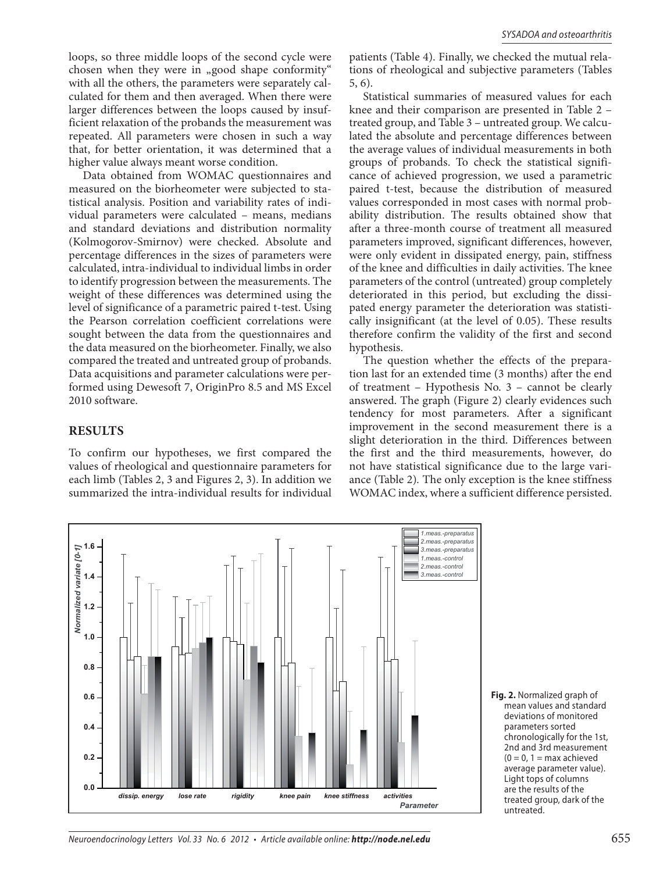loops, so three middle loops of the second cycle were chosen when they were in "good shape conformity" with all the others, the parameters were separately calculated for them and then averaged. When there were larger differences between the loops caused by insufficient relaxation of the probands the measurement was repeated. All parameters were chosen in such a way that, for better orientation, it was determined that a higher value always meant worse condition.

Data obtained from WOMAC questionnaires and measured on the biorheometer were subjected to statistical analysis. Position and variability rates of individual parameters were calculated – means, medians and standard deviations and distribution normality (Kolmogorov-Smirnov) were checked. Absolute and percentage differences in the sizes of parameters were calculated, intra-individual to individual limbs in order to identify progression between the measurements. The weight of these differences was determined using the level of significance of a parametric paired t-test. Using the Pearson correlation coefficient correlations were sought between the data from the questionnaires and the data measured on the biorheometer. Finally, we also compared the treated and untreated group of probands. Data acquisitions and parameter calculations were performed using Dewesoft 7, OriginPro 8.5 and MS Excel 2010 software.

#### **RESULTS**

To confirm our hypotheses, we first compared the values of rheological and questionnaire parameters for each limb (Tables 2, 3 and Figures 2, 3). In addition we summarized the intra-individual results for individual

patients (Table 4). Finally, we checked the mutual relations of rheological and subjective parameters (Tables 5, 6).

Statistical summaries of measured values for each knee and their comparison are presented in Table 2 – treated group, and Table 3 – untreated group. We calculated the absolute and percentage differences between the average values of individual measurements in both groups of probands. To check the statistical significance of achieved progression, we used a parametric paired t-test, because the distribution of measured values corresponded in most cases with normal probability distribution. The results obtained show that after a three-month course of treatment all measured parameters improved, significant differences, however, were only evident in dissipated energy, pain, stiffness of the knee and difficulties in daily activities. The knee parameters of the control (untreated) group completely deteriorated in this period, but excluding the dissipated energy parameter the deterioration was statistically insignificant (at the level of 0.05). These results therefore confirm the validity of the first and second hypothesis.

The question whether the effects of the preparation last for an extended time (3 months) after the end of treatment – Hypothesis No. 3 – cannot be clearly answered. The graph (Figure 2) clearly evidences such tendency for most parameters. After a significant improvement in the second measurement there is a slight deterioration in the third. Differences between the first and the third measurements, however, do not have statistical significance due to the large variance (Table 2)*.* The only exception is the knee stiffness WOMAC index, where a sufficient difference persisted.



**Fig. 2.** Normalized graph of mean values and standard deviations of monitored parameters sorted chronologically for the 1st, 2nd and 3rd measurement  $(0 = 0, 1 = max$  achieved average parameter value). Light tops of columns are the results of the treated group, dark of the untreated.

Neuroendocrinology Letters Vol. 33 No. 6 2012 • Article available online: *http://node.nel.edu* 655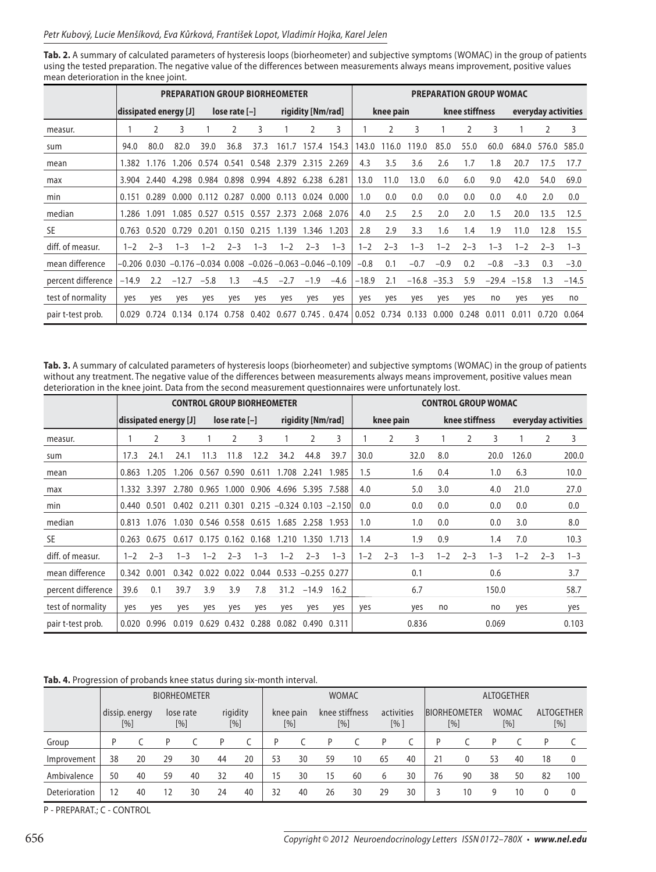**Tab. 2.** A summary of calculated parameters of hysteresis loops (biorheometer) and subjective symptoms (WOMAC) in the group of patients using the tested preparation. The negative value of the differences between measurements always means improvement, positive values mean deterioration in the knee joint.

|                    | <b>PREPARATION GROUP BIORHEOMETER</b> |             |             |         |                 |                                                                   |         |                           |         | <b>PREPARATION GROUP WOMAC</b> |           |         |                |                |         |         |                     |             |
|--------------------|---------------------------------------|-------------|-------------|---------|-----------------|-------------------------------------------------------------------|---------|---------------------------|---------|--------------------------------|-----------|---------|----------------|----------------|---------|---------|---------------------|-------------|
|                    | dissipated energy [J]                 |             |             |         | $lose rate [-]$ |                                                                   |         | rigidity [Nm/rad]         |         |                                | knee pain |         |                | knee stiffness |         |         | everyday activities |             |
| measur.            |                                       | 2           | 3           |         | 2               | 3                                                                 |         | 2                         | 3       |                                | 2         | 3       |                | 2              | 3       |         | 2                   | 3           |
| sum                | 94.0                                  | 80.0        | 82.0        | 39.0    | 36.8            | 37.3                                                              | 161.7   | 157.4 154.3               |         | 143.0                          | 116.0     | 119.0   | 85.0           | 55.0           | 60.0    | 684.0   |                     | 576.0 585.0 |
| mean               | 1.382                                 | 1.176       | 1.206       | 0.574   | 0.541           | 0.548 2.379                                                       |         | 2.315 2.269               |         | 4.3                            | 3.5       | 3.6     | 2.6            | 1.7            | 1.8     | 20.7    | 17.5                | 17.7        |
| max                |                                       | 3.904 2.440 |             |         |                 | 4.298 0.984 0.898 0.994 4.892 6.238 6.281                         |         |                           |         | 13.0                           | 11.0      | 13.0    | 6.0            | 6.0            | 9.0     | 42.0    | 54.0                | 69.0        |
| min                | 0.151                                 | 0.289       | 0.000       | 0.112   | 0.287           | 0.000                                                             | 0.113   | 0.024 0.000               |         | 1.0                            | 0.0       | 0.0     | 0.0            | 0.0            | 0.0     | 4.0     | 2.0                 | 0.0         |
| median             | 1.286                                 | 1.091       | 1.085       | 0.527   | 0.515           | 0.557                                                             | 2.373   | 2.068 2.076               |         | 4.0                            | 2.5       | 2.5     | 2.0            | 2.0            | 1.5     | 20.0    | 13.5                | 12.5        |
| <b>SE</b>          | 0.763                                 |             | 0.520 0.729 | 0.201   |                 | 0.150 0.215                                                       | 1.139   | 1.346 1.203               |         | 2.8                            | 2.9       | 3.3     | 1.6            | 1.4            | 1.9     | 11.0    | 12.8                | 15.5        |
| diff. of measur.   | $1 - 2$                               | $2 - 3$     | $1 - 3$     | $1 - 2$ | $2 - 3$         | $1 - 3$                                                           | $1 - 2$ | $2 - 3$                   | $1 - 3$ | $1 - 2$                        | $2 - 3$   | $1 - 3$ | $1 - 2$        | $2 - 3$        | $1 - 3$ | $1 - 2$ | $2 - 3$             | $1 - 3$     |
| mean difference    |                                       |             |             |         |                 | –0.206  0.030  –0.176 –0.034  0.008  –0.026 –0.063 –0.046 –0.109l |         |                           |         | $-0.8$                         | 0.1       | $-0.7$  | $-0.9$         | 0.2            | $-0.8$  | $-3.3$  | 0.3                 | $-3.0$      |
| percent difference | -14.9                                 | 2.2         | $-12.7$     | $-5.8$  | 1.3             | $-4.5$                                                            | $-2.7$  | $-1.9$                    | $-4.6$  | $-18.9$                        | 2.1       |         | $-16.8 - 35.3$ | 5.9            | $-29.4$ | $-15.8$ | 1.3                 | $-14.5$     |
| test of normality  | yes                                   | yes         | yes         | yes     | yes             | yes                                                               | yes     | yes                       | yes     | yes                            | yes       | yes     | yes            | yes            | no      | yes     | yes                 | no          |
| pair t-test prob.  | 0.029                                 | 0.724       | 0.134       | 0.174   | 0.758           | 0.402                                                             |         | $0.677$ $0.745$ . $0.474$ |         | 0.052                          | 0.734     | 0.133   | 0.000          | 0.248          | 0.011   | 0.011   | 0.720               | 0.064       |

**Tab. 3.** A summary of calculated parameters of hysteresis loops (biorheometer) and subjective symptoms (WOMAC) in the group of patients without any treatment. The negative value of the differences between measurements always means improvement, positive values mean deterioration in the knee joint. Data from the second measurement questionnaires were unfortunately lost.

|                    | <b>CONTROL GROUP BIORHEOMETER</b> |                |                       |             |                         |                   |                                            |                   |                                                           | <b>CONTROL GROUP WOMAC</b> |           |         |     |                |         |         |         |                     |
|--------------------|-----------------------------------|----------------|-----------------------|-------------|-------------------------|-------------------|--------------------------------------------|-------------------|-----------------------------------------------------------|----------------------------|-----------|---------|-----|----------------|---------|---------|---------|---------------------|
|                    |                                   |                | dissipated energy [J] |             | $lose rate [-]$         |                   |                                            | rigidity [Nm/rad] |                                                           |                            | knee pain |         |     | knee stiffness |         |         |         | everyday activities |
| measur.            |                                   | $\mathfrak{D}$ | 3                     |             | 2                       | 3                 |                                            | 2                 | 3                                                         |                            | 2         | 3       |     | 2              | 3       |         | 2       | 3                   |
| sum                | 17.3                              | 24.1           | 24.1                  | 11.3        | 11.8                    | 12.2              | 34.2                                       | 44.8              | 39.7                                                      | 30.0                       |           | 32.0    | 8.0 |                | 20.0    | 126.0   |         | 200.0               |
| mean               | 0.863                             | 1.205          |                       |             | 1.206 0.567 0.590 0.611 |                   | 1.708                                      | 2.241             | 1.985                                                     | 1.5                        |           | 1.6     | 0.4 |                | 1.0     | 6.3     |         | 10.0                |
| max                |                                   | 1.332 3.397    |                       | 2.780 0.965 |                         |                   | 1.000 0.906 4.696 5.395 7.588              |                   |                                                           | 4.0                        |           | 5.0     | 3.0 |                | 4.0     | 21.0    |         | 27.0                |
| min                |                                   | 0.440 0.501    |                       |             |                         |                   |                                            |                   | $0.402$ $0.211$ $0.301$ $0.215$ $-0.324$ $0.103$ $-2.150$ | 0.0                        |           | 0.0     | 0.0 |                | 0.0     | 0.0     |         | 0.0                 |
| median             | 0.813                             | 1.076          |                       |             |                         |                   | 1.030 0.546 0.558 0.615 1.685 2.258 1.953  |                   |                                                           | 1.0                        |           | 1.0     | 0.0 |                | 0.0     | 3.0     |         | 8.0                 |
| <b>SE</b>          | 0.263                             | 0.675          | 0.617                 |             |                         | 0.175 0.162 0.168 | 1.210                                      |                   | 1.350 1.713                                               | 1.4                        |           | 1.9     | 0.9 |                | 1.4     | 7.0     |         | 10.3                |
| diff. of measur.   | $1 - 2$                           | $2 - 3$        | $1 - 3$               | $1 - 2$     | $2 - 3$                 | $1 - 3$           | $1 - 2$                                    | $2 - 3$           | $1 - 3$                                                   | $1 - 2$                    | $2 - 3$   | $1 - 3$ | 1–2 | $2 - 3$        | $1 - 3$ | $1 - 2$ | $2 - 3$ | $1 - 3$             |
| mean difference    | 0.342 0.001                       |                |                       |             |                         |                   | 0.342 0.022 0.022 0.044 0.533 -0.255 0.277 |                   |                                                           |                            |           | 0.1     |     |                | 0.6     |         |         | 3.7                 |
| percent difference | 39.6                              | 0.1            | 39.7                  | 3.9         | 3.9                     | 7.8               |                                            | $31.2 -14.9$      | 16.2                                                      |                            |           | 6.7     |     |                | 150.0   |         |         | 58.7                |
| test of normality  | yes                               | yes            | yes                   | yes         | yes                     | yes               | yes                                        | yes               | yes                                                       | yes                        |           | yes     | no  |                | no      | yes     |         | yes                 |
| pair t-test prob.  | 0.020                             | 0.996          | 0.019                 | 0.629       | 0.432                   | 0.288             | 0.082                                      | 0.490             | 0.311                                                     |                            |           | 0.836   |     |                | 0.069   |         |         | 0.103               |

#### **Tab. 4.** Progression of probands knee status during six-month interval.

|               | <b>BIORHEOMETER</b>   |    |     |           |    |                 | <b>WOMAC</b> |                  |                |     |     |            | ALTOGETHER |                            |    |                     |    |                          |
|---------------|-----------------------|----|-----|-----------|----|-----------------|--------------|------------------|----------------|-----|-----|------------|------------|----------------------------|----|---------------------|----|--------------------------|
|               | dissip. energy<br>[%] |    | [%] | lose rate |    | rigidity<br>[%] |              | knee pain<br>[%] | knee stiffness | [%] | [%] | activities |            | <b>BIORHEOMETER</b><br>[%] |    | <b>WOMAC</b><br>[%] |    | <b>ALTOGETHER</b><br>[%] |
| Group         |                       |    |     |           | P  |                 |              |                  |                |     |     |            | D          |                            | D  |                     |    |                          |
| Improvement   | 38                    | 20 | 29  | 30        | 44 | 20              | 53           | 30               | 59             | 10  | 65  | 40         | 21         | 0                          | 53 | 40                  | 18 | $\Omega$                 |
| Ambivalence   | 50                    | 40 | 59  | 40        | 32 | 40              | 15           | 30               | 15             | 60  | 6   | 30         | 76         | 90                         | 38 | 50                  | 82 | 100                      |
| Deterioration | 12                    | 40 | 12  | 30        | 24 | 40              | 32           | 40               | 26             | 30  | 29  | 30         | 3          | 10                         | g  | 10                  |    |                          |

P - PREPARAT.; C - CONTROL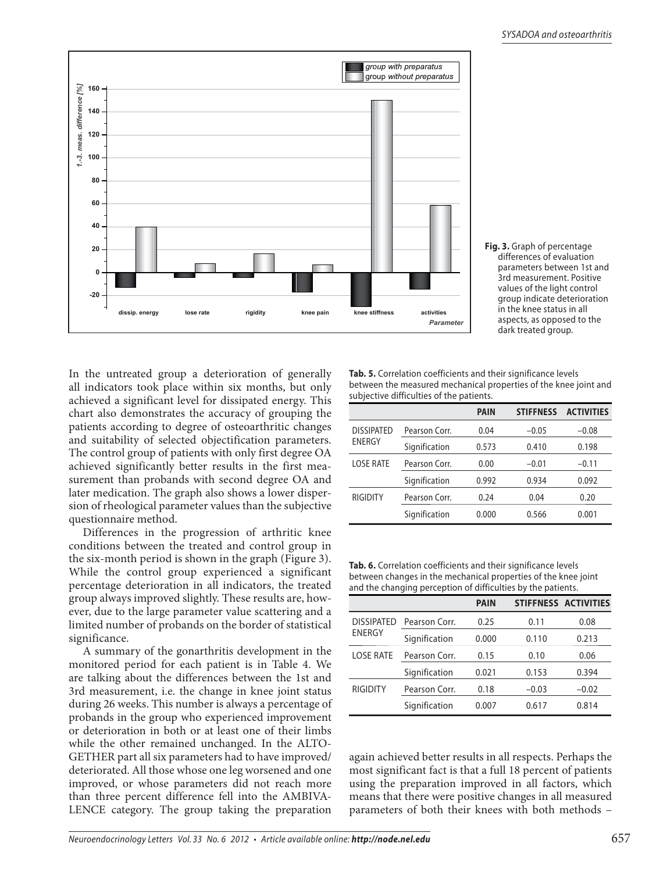



In the untreated group a deterioration of generally all indicators took place within six months, but only achieved a significant level for dissipated energy. This chart also demonstrates the accuracy of grouping the patients according to degree of osteoarthritic changes and suitability of selected objectification parameters. The control group of patients with only first degree OA achieved significantly better results in the first measurement than probands with second degree OA and later medication. The graph also shows a lower dispersion of rheological parameter values than the subjective questionnaire method.

Differences in the progression of arthritic knee conditions between the treated and control group in the six-month period is shown in the graph (Figure 3). While the control group experienced a significant percentage deterioration in all indicators, the treated group always improved slightly. These results are, however, due to the large parameter value scattering and a limited number of probands on the border of statistical significance.

A summary of the gonarthritis development in the monitored period for each patient is in Table 4. We are talking about the differences between the 1st and 3rd measurement, i.e. the change in knee joint status during 26 weeks. This number is always a percentage of probands in the group who experienced improvement or deterioration in both or at least one of their limbs while the other remained unchanged. In the ALTO-GETHER part all six parameters had to have improved/ deteriorated. All those whose one leg worsened and one improved, or whose parameters did not reach more than three percent difference fell into the AMBIVA-LENCE category. The group taking the preparation

**Tab. 5.** Correlation coefficients and their significance levels between the measured mechanical properties of the knee joint and subjective difficulties of the patients.

|                   |               | <b>PAIN</b> | <b>STIFFNESS</b> | <b>ACTIVITIES</b> |
|-------------------|---------------|-------------|------------------|-------------------|
| <b>DISSIPATED</b> | Pearson Corr. | 0.04        | $-0.05$          | $-0.08$           |
| ENERGY            | Signification | 0.573       | 0.410            | 0.198             |
| LOSE RATE         | Pearson Corr. | 0.00        | $-0.01$          | $-0.11$           |
|                   | Signification | 0.992       | 0.934            | 0.092             |
| RIGIDITY          | Pearson Corr. | 0.24        | 0.04             | 0.20              |
|                   | Signification | 0.000       | 0.566            | 0.001             |

**Tab. 6.** Correlation coefficients and their significance levels between changes in the mechanical properties of the knee joint and the changing perception of difficulties by the patients.

|                   |               | <b>PAIN</b> |         | STIFFNESS ACTIVITIES |
|-------------------|---------------|-------------|---------|----------------------|
| <b>DISSIPATED</b> | Pearson Corr. | 0.25        | 0.11    | 0.08                 |
| <b>ENERGY</b>     | Signification | 0.000       | 0.110   | 0.213                |
| LOSE RATE         | Pearson Corr. | 0.15        | 0.10    | 0.06                 |
|                   | Signification | 0.021       | 0.153   | 0.394                |
| <b>RIGIDITY</b>   | Pearson Corr. | 0.18        | $-0.03$ | $-0.02$              |
|                   | Signification | 0.007       | 0.617   | 0.814                |

again achieved better results in all respects. Perhaps the most significant fact is that a full 18 percent of patients using the preparation improved in all factors, which means that there were positive changes in all measured parameters of both their knees with both methods –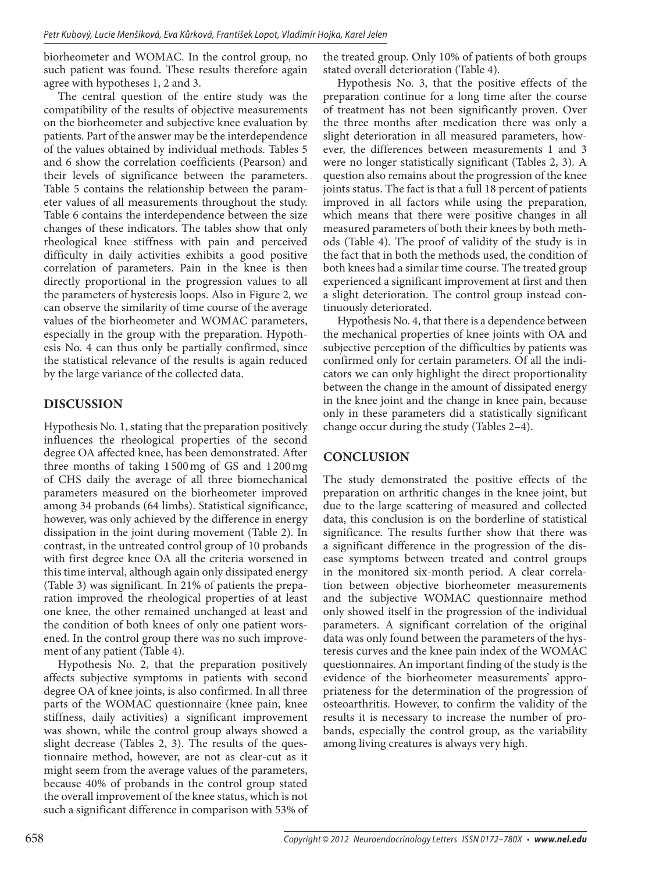biorheometer and WOMAC. In the control group, no such patient was found. These results therefore again agree with hypotheses 1, 2 and 3.

The central question of the entire study was the compatibility of the results of objective measurements on the biorheometer and subjective knee evaluation by patients. Part of the answer may be the interdependence of the values obtained by individual methods. Tables 5 and 6 show the correlation coefficients (Pearson) and their levels of significance between the parameters. Table 5 contains the relationship between the parameter values of all measurements throughout the study. Table 6 contains the interdependence between the size changes of these indicators. The tables show that only rheological knee stiffness with pain and perceived difficulty in daily activities exhibits a good positive correlation of parameters. Pain in the knee is then directly proportional in the progression values to all the parameters of hysteresis loops. Also in Figure 2*,* we can observe the similarity of time course of the average values of the biorheometer and WOMAC parameters, especially in the group with the preparation. Hypothesis No. 4 can thus only be partially confirmed, since the statistical relevance of the results is again reduced by the large variance of the collected data.

## **DISCUSSION**

Hypothesis No. 1, stating that the preparation positively influences the rheological properties of the second degree OA affected knee, has been demonstrated. After three months of taking 1 500 mg of GS and 1 200 mg of CHS daily the average of all three biomechanical parameters measured on the biorheometer improved among 34 probands (64 limbs). Statistical significance, however, was only achieved by the difference in energy dissipation in the joint during movement (Table 2)*.* In contrast, in the untreated control group of 10 probands with first degree knee OA all the criteria worsened in this time interval, although again only dissipated energy (Table 3) was significant*.* In 21% of patients the preparation improved the rheological properties of at least one knee, the other remained unchanged at least and the condition of both knees of only one patient worsened. In the control group there was no such improvement of any patient (Table 4)*.*

Hypothesis No. 2, that the preparation positively affects subjective symptoms in patients with second degree OA of knee joints, is also confirmed. In all three parts of the WOMAC questionnaire (knee pain, knee stiffness, daily activities) a significant improvement was shown, while the control group always showed a slight decrease (Tables 2, 3). The results of the questionnaire method, however, are not as clear-cut as it might seem from the average values of the parameters, because 40% of probands in the control group stated the overall improvement of the knee status, which is not such a significant difference in comparison with 53% of the treated group. Only 10% of patients of both groups stated overall deterioration (Table 4)*.*

Hypothesis No. 3, that the positive effects of the preparation continue for a long time after the course of treatment has not been significantly proven. Over the three months after medication there was only a slight deterioration in all measured parameters, however, the differences between measurements 1 and 3 were no longer statistically significant (Tables 2, 3)*.* A question also remains about the progression of the knee joints status. The fact is that a full 18 percent of patients improved in all factors while using the preparation, which means that there were positive changes in all measured parameters of both their knees by both methods (Table 4)*.* The proof of validity of the study is in the fact that in both the methods used, the condition of both knees had a similar time course. The treated group experienced a significant improvement at first and then a slight deterioration. The control group instead continuously deteriorated.

Hypothesis No. 4, that there is a dependence between the mechanical properties of knee joints with OA and subjective perception of the difficulties by patients was confirmed only for certain parameters. Of all the indicators we can only highlight the direct proportionality between the change in the amount of dissipated energy in the knee joint and the change in knee pain, because only in these parameters did a statistically significant change occur during the study (Tables 2–4).

## **CONCLUSION**

The study demonstrated the positive effects of the preparation on arthritic changes in the knee joint, but due to the large scattering of measured and collected data, this conclusion is on the borderline of statistical significance. The results further show that there was a significant difference in the progression of the disease symptoms between treated and control groups in the monitored six-month period. A clear correlation between objective biorheometer measurements and the subjective WOMAC questionnaire method only showed itself in the progression of the individual parameters. A significant correlation of the original data was only found between the parameters of the hysteresis curves and the knee pain index of the WOMAC questionnaires. An important finding of the study is the evidence of the biorheometer measurements' appropriateness for the determination of the progression of osteoarthritis. However, to confirm the validity of the results it is necessary to increase the number of probands, especially the control group, as the variability among living creatures is always very high.